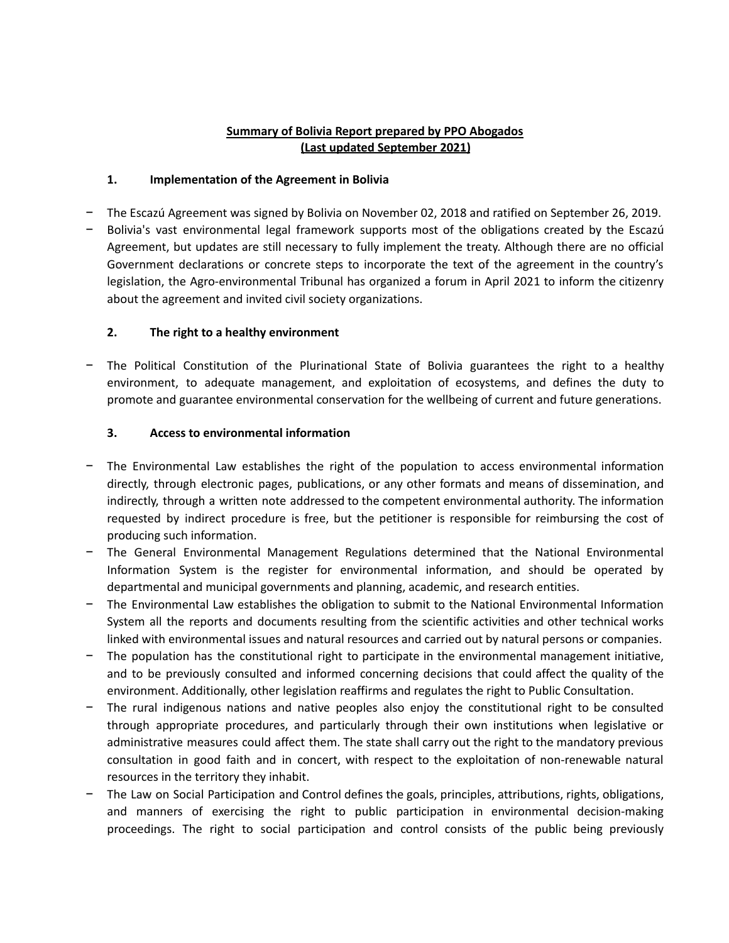### **Summary of Bolivia Report prepared by PPO Abogados (Last updated September 2021)**

### **1. Implementation of the Agreement in Bolivia**

- − The Escazú Agreement was signed by Bolivia on November 02, 2018 and ratified on September 26, 2019.
- − Bolivia's vast environmental legal framework supports most of the obligations created by the Escazú Agreement, but updates are still necessary to fully implement the treaty. Although there are no official Government declarations or concrete steps to incorporate the text of the agreement in the country's legislation, the Agro-environmental Tribunal has organized a forum in April 2021 to inform the citizenry about the agreement and invited civil society organizations.

### **2. The right to a healthy environment**

The Political Constitution of the Plurinational State of Bolivia guarantees the right to a healthy environment, to adequate management, and exploitation of ecosystems, and defines the duty to promote and guarantee environmental conservation for the wellbeing of current and future generations.

#### **3. Access to environmental information**

- The Environmental Law establishes the right of the population to access environmental information directly, through electronic pages, publications, or any other formats and means of dissemination, and indirectly, through a written note addressed to the competent environmental authority. The information requested by indirect procedure is free, but the petitioner is responsible for reimbursing the cost of producing such information.
- − The General Environmental Management Regulations determined that the National Environmental Information System is the register for environmental information, and should be operated by departmental and municipal governments and planning, academic, and research entities.
- The Environmental Law establishes the obligation to submit to the National Environmental Information System all the reports and documents resulting from the scientific activities and other technical works linked with environmental issues and natural resources and carried out by natural persons or companies.
- The population has the constitutional right to participate in the environmental management initiative, and to be previously consulted and informed concerning decisions that could affect the quality of the environment. Additionally, other legislation reaffirms and regulates the right to Public Consultation.
- The rural indigenous nations and native peoples also enjoy the constitutional right to be consulted through appropriate procedures, and particularly through their own institutions when legislative or administrative measures could affect them. The state shall carry out the right to the mandatory previous consultation in good faith and in concert, with respect to the exploitation of non-renewable natural resources in the territory they inhabit.
- The Law on Social Participation and Control defines the goals, principles, attributions, rights, obligations, and manners of exercising the right to public participation in environmental decision-making proceedings. The right to social participation and control consists of the public being previously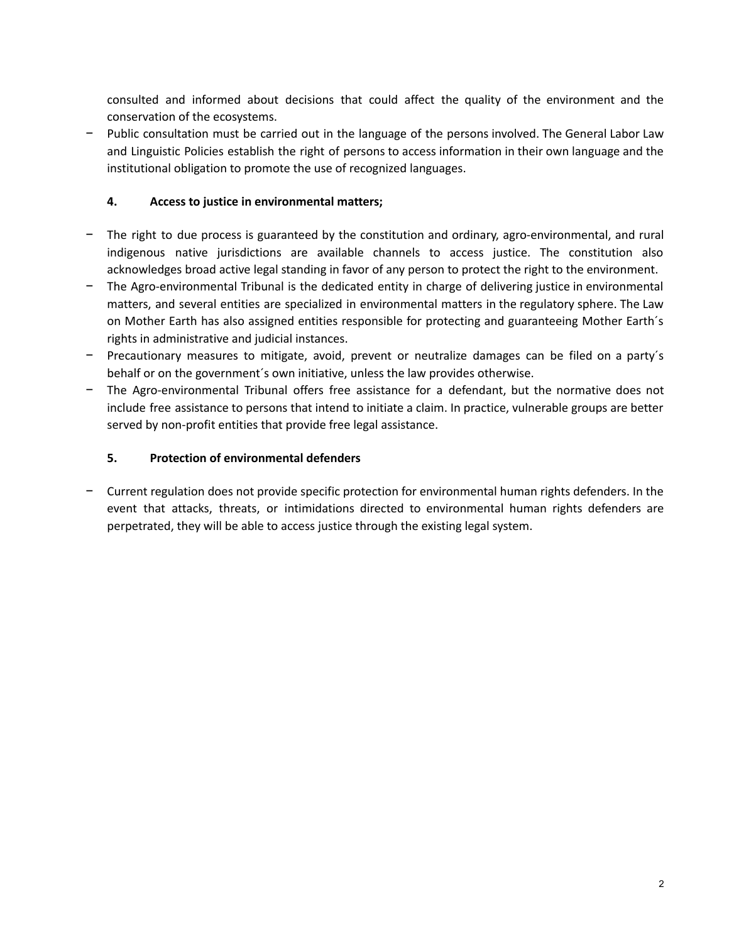consulted and informed about decisions that could affect the quality of the environment and the conservation of the ecosystems.

− Public consultation must be carried out in the language of the persons involved. The General Labor Law and Linguistic Policies establish the right of persons to access information in their own language and the institutional obligation to promote the use of recognized languages.

## **4. Access to justice in environmental matters;**

- The right to due process is guaranteed by the constitution and ordinary, agro-environmental, and rural indigenous native jurisdictions are available channels to access justice. The constitution also acknowledges broad active legal standing in favor of any person to protect the right to the environment.
- The Agro-environmental Tribunal is the dedicated entity in charge of delivering justice in environmental matters, and several entities are specialized in environmental matters in the regulatory sphere. The Law on Mother Earth has also assigned entities responsible for protecting and guaranteeing Mother Earth´s rights in administrative and judicial instances.
- − Precautionary measures to mitigate, avoid, prevent or neutralize damages can be filed on a party´s behalf or on the government´s own initiative, unless the law provides otherwise.
- The Agro-environmental Tribunal offers free assistance for a defendant, but the normative does not include free assistance to persons that intend to initiate a claim. In practice, vulnerable groups are better served by non-profit entities that provide free legal assistance.

## **5. Protection of environmental defenders**

− Current regulation does not provide specific protection for environmental human rights defenders. In the event that attacks, threats, or intimidations directed to environmental human rights defenders are perpetrated, they will be able to access justice through the existing legal system.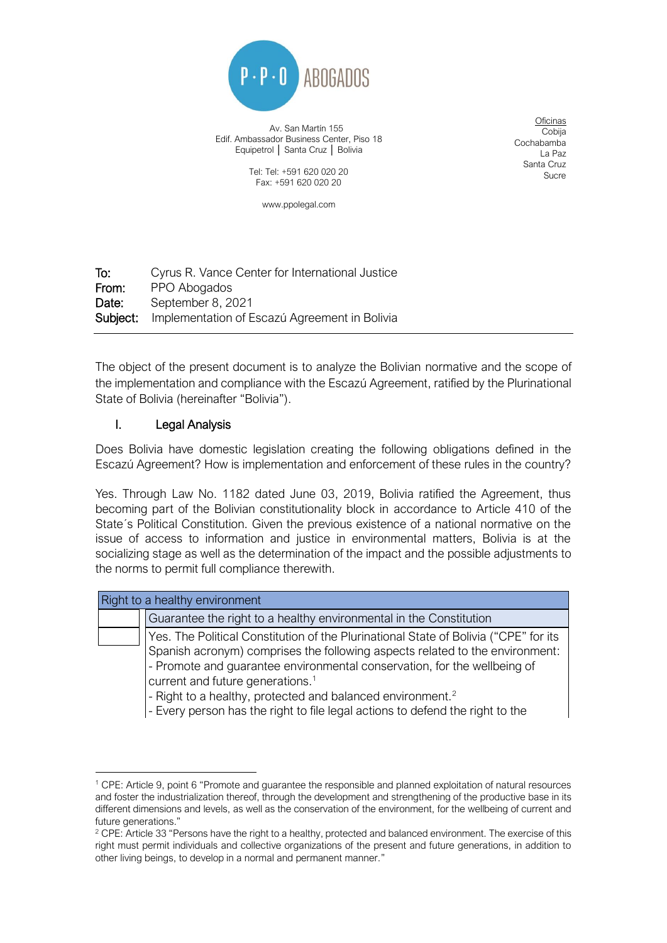

Av. San Martín 155 Edif. Ambassador Business Center, Piso 18 Equipetrol | Santa Cruz | Bolivia

> Tel: Tel: +591 620 020 20 Fax: +591 620 020 20

> > www.ppolegal.com

Oficinas Cobija Cochabamba La Paz Santa Cruz Sucre

To: Cyrus R. Vance Center for International Justice From: PPO Abogados Date: September 8, 2021 Subject: Implementation of Escazú Agreement in Bolivia

The object of the present document is to analyze the Bolivian normative and the scope of the implementation and compliance with the Escazú Agreement, ratified by the Plurinational State of Bolivia (hereinafter "Bolivia").

# I. Legal Analysis

Does Bolivia have domestic legislation creating the following obligations defined in the Escazú Agreement? How is implementation and enforcement of these rules in the country?

Yes. Through Law No. 1182 dated June 03, 2019, Bolivia ratified the Agreement, thus becoming part of the Bolivian constitutionality block in accordance to Article 410 of the State´s Political Constitution. Given the previous existence of a national normative on the issue of access to information and justice in environmental matters, Bolivia is at the socializing stage as well as the determination of the impact and the possible adjustments to the norms to permit full compliance therewith.

| Right to a healthy environment |                                                                                                                                                                                                                                                                                                                                                                                                                                                             |
|--------------------------------|-------------------------------------------------------------------------------------------------------------------------------------------------------------------------------------------------------------------------------------------------------------------------------------------------------------------------------------------------------------------------------------------------------------------------------------------------------------|
|                                | Guarantee the right to a healthy environmental in the Constitution                                                                                                                                                                                                                                                                                                                                                                                          |
|                                | Yes. The Political Constitution of the Plurinational State of Bolivia ("CPE" for its<br>Spanish acronym) comprises the following aspects related to the environment:<br>- Promote and guarantee environmental conservation, for the wellbeing of<br>current and future generations. <sup>1</sup><br>- Right to a healthy, protected and balanced environment. <sup>2</sup><br>- Every person has the right to file legal actions to defend the right to the |

<sup>1</sup> CPE: Article 9, point 6 "Promote and guarantee the responsible and planned exploitation of natural resources and foster the industrialization thereof, through the development and strengthening of the productive base in its different dimensions and levels, as well as the conservation of the environment, for the wellbeing of current and future generations."

<sup>&</sup>lt;sup>2</sup> CPE: Article 33 "Persons have the right to a healthy, protected and balanced environment. The exercise of this right must permit individuals and collective organizations of the present and future generations, in addition to other living beings, to develop in a normal and permanent manner."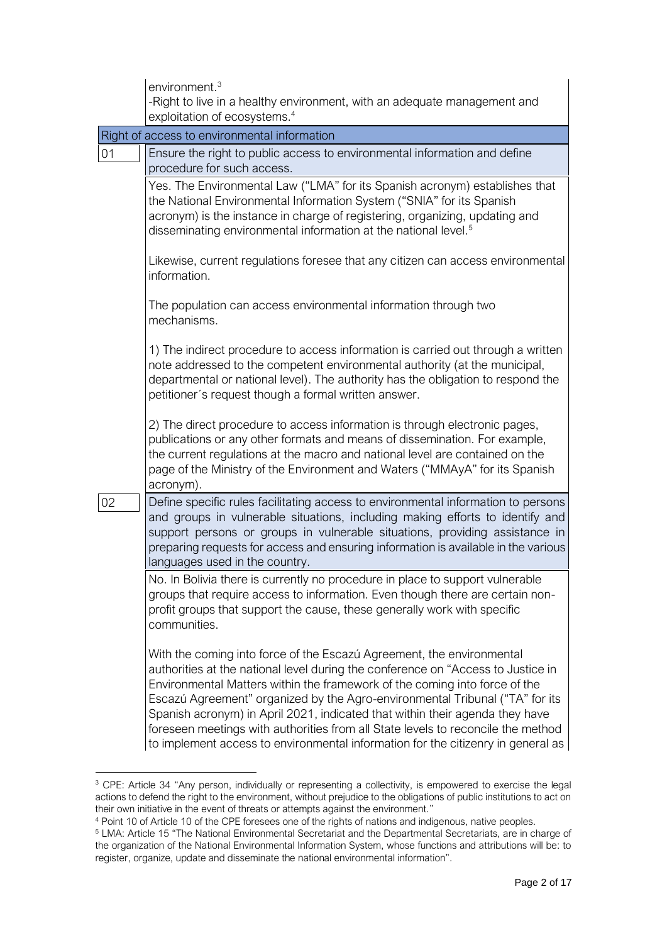|    | environment. $3$                                                                                                                                                                                                                                                                                                                                                                                                                                                                                                                                                                |
|----|---------------------------------------------------------------------------------------------------------------------------------------------------------------------------------------------------------------------------------------------------------------------------------------------------------------------------------------------------------------------------------------------------------------------------------------------------------------------------------------------------------------------------------------------------------------------------------|
|    | -Right to live in a healthy environment, with an adequate management and                                                                                                                                                                                                                                                                                                                                                                                                                                                                                                        |
|    | exploitation of ecosystems. <sup>4</sup>                                                                                                                                                                                                                                                                                                                                                                                                                                                                                                                                        |
|    | Right of access to environmental information                                                                                                                                                                                                                                                                                                                                                                                                                                                                                                                                    |
| 01 | Ensure the right to public access to environmental information and define<br>procedure for such access.                                                                                                                                                                                                                                                                                                                                                                                                                                                                         |
|    | Yes. The Environmental Law ("LMA" for its Spanish acronym) establishes that<br>the National Environmental Information System ("SNIA" for its Spanish<br>acronym) is the instance in charge of registering, organizing, updating and<br>disseminating environmental information at the national level. <sup>5</sup>                                                                                                                                                                                                                                                              |
|    | Likewise, current regulations foresee that any citizen can access environmental<br>information.                                                                                                                                                                                                                                                                                                                                                                                                                                                                                 |
|    | The population can access environmental information through two<br>mechanisms.                                                                                                                                                                                                                                                                                                                                                                                                                                                                                                  |
|    | 1) The indirect procedure to access information is carried out through a written<br>note addressed to the competent environmental authority (at the municipal,<br>departmental or national level). The authority has the obligation to respond the<br>petitioner's request though a formal written answer.                                                                                                                                                                                                                                                                      |
|    | 2) The direct procedure to access information is through electronic pages,<br>publications or any other formats and means of dissemination. For example,<br>the current regulations at the macro and national level are contained on the<br>page of the Ministry of the Environment and Waters ("MMAyA" for its Spanish<br>acronym).                                                                                                                                                                                                                                            |
| 02 | Define specific rules facilitating access to environmental information to persons<br>and groups in vulnerable situations, including making efforts to identify and<br>support persons or groups in vulnerable situations, providing assistance in<br>preparing requests for access and ensuring information is available in the various<br>languages used in the country.                                                                                                                                                                                                       |
|    | No. In Bolivia there is currently no procedure in place to support vulnerable<br>groups that require access to information. Even though there are certain non-<br>profit groups that support the cause, these generally work with specific<br>communities.                                                                                                                                                                                                                                                                                                                      |
|    | With the coming into force of the Escazú Agreement, the environmental<br>authorities at the national level during the conference on "Access to Justice in<br>Environmental Matters within the framework of the coming into force of the<br>Escazú Agreement" organized by the Agro-environmental Tribunal ("TA" for its<br>Spanish acronym) in April 2021, indicated that within their agenda they have<br>foreseen meetings with authorities from all State levels to reconcile the method<br>to implement access to environmental information for the citizenry in general as |

<sup>&</sup>lt;sup>3</sup> CPE: Article 34 "Any person, individually or representing a collectivity, is empowered to exercise the legal actions to defend the right to the environment, without prejudice to the obligations of public institutions to act on their own initiative in the event of threats or attempts against the environment."

<sup>4</sup> Point 10 of Article 10 of the CPE foresees one of the rights of nations and indigenous, native peoples.

<sup>&</sup>lt;sup>5</sup> LMA: Article 15 "The National Environmental Secretariat and the Departmental Secretariats, are in charge of the organization of the National Environmental Information System, whose functions and attributions will be: to register, organize, update and disseminate the national environmental information".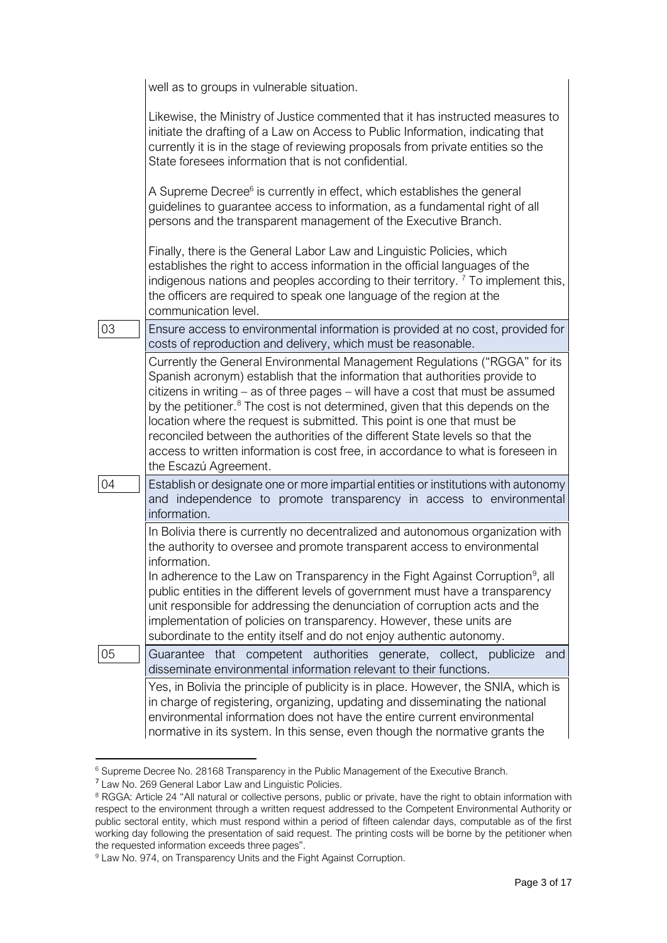|    | well as to groups in vulnerable situation.                                                                                                                                                                                                                                                                                                                                                                                                                                                                                                                                                                         |
|----|--------------------------------------------------------------------------------------------------------------------------------------------------------------------------------------------------------------------------------------------------------------------------------------------------------------------------------------------------------------------------------------------------------------------------------------------------------------------------------------------------------------------------------------------------------------------------------------------------------------------|
|    | Likewise, the Ministry of Justice commented that it has instructed measures to<br>initiate the drafting of a Law on Access to Public Information, indicating that<br>currently it is in the stage of reviewing proposals from private entities so the<br>State foresees information that is not confidential.                                                                                                                                                                                                                                                                                                      |
|    | A Supreme Decree <sup>6</sup> is currently in effect, which establishes the general<br>guidelines to guarantee access to information, as a fundamental right of all<br>persons and the transparent management of the Executive Branch.                                                                                                                                                                                                                                                                                                                                                                             |
|    | Finally, there is the General Labor Law and Linguistic Policies, which<br>establishes the right to access information in the official languages of the<br>indigenous nations and peoples according to their territory. $^7$ To implement this,<br>the officers are required to speak one language of the region at the<br>communication level.                                                                                                                                                                                                                                                                     |
| 03 | Ensure access to environmental information is provided at no cost, provided for<br>costs of reproduction and delivery, which must be reasonable.                                                                                                                                                                                                                                                                                                                                                                                                                                                                   |
|    | Currently the General Environmental Management Regulations ("RGGA" for its<br>Spanish acronym) establish that the information that authorities provide to<br>citizens in writing - as of three pages - will have a cost that must be assumed<br>by the petitioner. <sup>8</sup> The cost is not determined, given that this depends on the<br>location where the request is submitted. This point is one that must be<br>reconciled between the authorities of the different State levels so that the<br>access to written information is cost free, in accordance to what is foreseen in<br>the Escazú Agreement. |
| 04 | Establish or designate one or more impartial entities or institutions with autonomy<br>and independence to promote transparency in access to environmental<br>information.                                                                                                                                                                                                                                                                                                                                                                                                                                         |
|    | In Bolivia there is currently no decentralized and autonomous organization with<br>the authority to oversee and promote transparent access to environmental<br>information.<br>In adherence to the Law on Transparency in the Fight Against Corruption <sup>9</sup> , all<br>public entities in the different levels of government must have a transparency<br>unit responsible for addressing the denunciation of corruption acts and the<br>implementation of policies on transparency. However, these units are<br>subordinate to the entity itself and do not enjoy authentic autonomy.                        |
| 05 | Guarantee that competent authorities generate, collect, publicize<br>and<br>disseminate environmental information relevant to their functions.                                                                                                                                                                                                                                                                                                                                                                                                                                                                     |
|    | Yes, in Bolivia the principle of publicity is in place. However, the SNIA, which is<br>in charge of registering, organizing, updating and disseminating the national<br>environmental information does not have the entire current environmental<br>normative in its system. In this sense, even though the normative grants the                                                                                                                                                                                                                                                                                   |

<sup>6</sup> Supreme Decree No. 28168 Transparency in the Public Management of the Executive Branch.

<sup>&</sup>lt;sup>7</sup> Law No. 269 General Labor Law and Linguistic Policies.

<sup>&</sup>lt;sup>8</sup> RGGA: Article 24 "All natural or collective persons, public or private, have the right to obtain information with respect to the environment through a written request addressed to the Competent Environmental Authority or public sectoral entity, which must respond within a period of fifteen calendar days, computable as of the first working day following the presentation of said request. The printing costs will be borne by the petitioner when the requested information exceeds three pages".

<sup>&</sup>lt;sup>9</sup> Law No. 974, on Transparency Units and the Fight Against Corruption.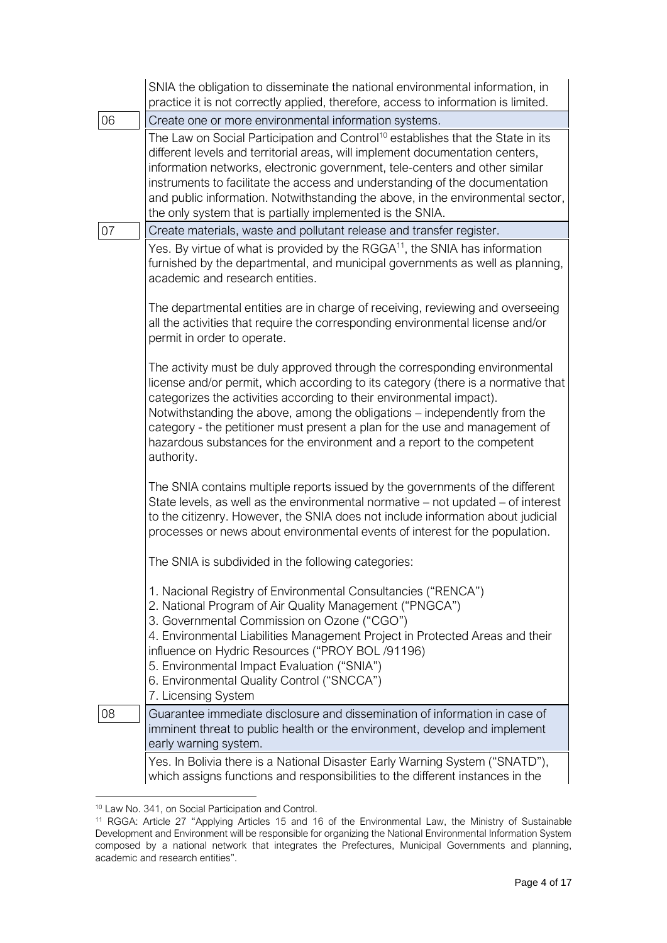|    | SNIA the obligation to disseminate the national environmental information, in<br>practice it is not correctly applied, therefore, access to information is limited.                                                                                                                                                                                                                                                                                                                         |
|----|---------------------------------------------------------------------------------------------------------------------------------------------------------------------------------------------------------------------------------------------------------------------------------------------------------------------------------------------------------------------------------------------------------------------------------------------------------------------------------------------|
| 06 | Create one or more environmental information systems.                                                                                                                                                                                                                                                                                                                                                                                                                                       |
|    | The Law on Social Participation and Control <sup>10</sup> establishes that the State in its<br>different levels and territorial areas, will implement documentation centers,<br>information networks, electronic government, tele-centers and other similar<br>instruments to facilitate the access and understanding of the documentation<br>and public information. Notwithstanding the above, in the environmental sector,<br>the only system that is partially implemented is the SNIA. |
| 07 | Create materials, waste and pollutant release and transfer register.                                                                                                                                                                                                                                                                                                                                                                                                                        |
|    | Yes. By virtue of what is provided by the RGGA <sup>11</sup> , the SNIA has information<br>furnished by the departmental, and municipal governments as well as planning,<br>academic and research entities.                                                                                                                                                                                                                                                                                 |
|    | The departmental entities are in charge of receiving, reviewing and overseeing<br>all the activities that require the corresponding environmental license and/or<br>permit in order to operate.                                                                                                                                                                                                                                                                                             |
|    | The activity must be duly approved through the corresponding environmental<br>license and/or permit, which according to its category (there is a normative that<br>categorizes the activities according to their environmental impact).<br>Notwithstanding the above, among the obligations – independently from the<br>category - the petitioner must present a plan for the use and management of<br>hazardous substances for the environment and a report to the competent<br>authority. |
|    | The SNIA contains multiple reports issued by the governments of the different<br>State levels, as well as the environmental normative - not updated - of interest<br>to the citizenry. However, the SNIA does not include information about judicial<br>processes or news about environmental events of interest for the population.                                                                                                                                                        |
|    | The SNIA is subdivided in the following categories:                                                                                                                                                                                                                                                                                                                                                                                                                                         |
|    | 1. Nacional Registry of Environmental Consultancies ("RENCA")<br>2. National Program of Air Quality Management ("PNGCA")<br>3. Governmental Commission on Ozone ("CGO")<br>4. Environmental Liabilities Management Project in Protected Areas and their<br>influence on Hydric Resources ("PROY BOL /91196)<br>5. Environmental Impact Evaluation ("SNIA")<br>6. Environmental Quality Control ("SNCCA")                                                                                    |
|    | 7. Licensing System                                                                                                                                                                                                                                                                                                                                                                                                                                                                         |
| 08 | Guarantee immediate disclosure and dissemination of information in case of<br>imminent threat to public health or the environment, develop and implement<br>early warning system.                                                                                                                                                                                                                                                                                                           |
|    | Yes. In Bolivia there is a National Disaster Early Warning System ("SNATD"),<br>which assigns functions and responsibilities to the different instances in the                                                                                                                                                                                                                                                                                                                              |

<sup>10</sup> Law No. 341, on Social Participation and Control.

<sup>11</sup> RGGA: Article 27 "Applying Articles 15 and 16 of the Environmental Law, the Ministry of Sustainable Development and Environment will be responsible for organizing the National Environmental Information System composed by a national network that integrates the Prefectures, Municipal Governments and planning, academic and research entities".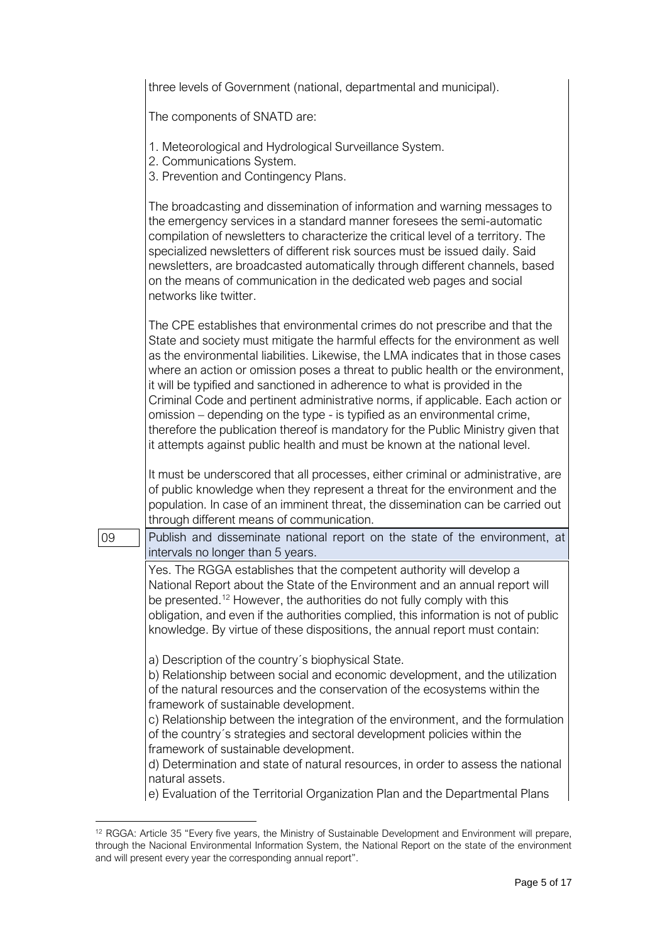|    | three levels of Government (national, departmental and municipal).                                                                                                                                                                                                                                                                                                                                                                                                                                                                                                                                                                                                                                                                                      |
|----|---------------------------------------------------------------------------------------------------------------------------------------------------------------------------------------------------------------------------------------------------------------------------------------------------------------------------------------------------------------------------------------------------------------------------------------------------------------------------------------------------------------------------------------------------------------------------------------------------------------------------------------------------------------------------------------------------------------------------------------------------------|
|    | The components of SNATD are:                                                                                                                                                                                                                                                                                                                                                                                                                                                                                                                                                                                                                                                                                                                            |
|    | 1. Meteorological and Hydrological Surveillance System.<br>2. Communications System.<br>3. Prevention and Contingency Plans.                                                                                                                                                                                                                                                                                                                                                                                                                                                                                                                                                                                                                            |
|    | The broadcasting and dissemination of information and warning messages to<br>the emergency services in a standard manner foresees the semi-automatic<br>compilation of newsletters to characterize the critical level of a territory. The<br>specialized newsletters of different risk sources must be issued daily. Said<br>newsletters, are broadcasted automatically through different channels, based<br>on the means of communication in the dedicated web pages and social<br>networks like twitter.                                                                                                                                                                                                                                              |
|    | The CPE establishes that environmental crimes do not prescribe and that the<br>State and society must mitigate the harmful effects for the environment as well<br>as the environmental liabilities. Likewise, the LMA indicates that in those cases<br>where an action or omission poses a threat to public health or the environment,<br>it will be typified and sanctioned in adherence to what is provided in the<br>Criminal Code and pertinent administrative norms, if applicable. Each action or<br>omission – depending on the type - is typified as an environmental crime,<br>therefore the publication thereof is mandatory for the Public Ministry given that<br>it attempts against public health and must be known at the national level. |
|    | It must be underscored that all processes, either criminal or administrative, are<br>of public knowledge when they represent a threat for the environment and the<br>population. In case of an imminent threat, the dissemination can be carried out<br>through different means of communication.                                                                                                                                                                                                                                                                                                                                                                                                                                                       |
| 09 | Publish and disseminate national report on the state of the environment, at<br>intervals no longer than 5 years.                                                                                                                                                                                                                                                                                                                                                                                                                                                                                                                                                                                                                                        |
|    | Yes. The RGGA establishes that the competent authority will develop a<br>National Report about the State of the Environment and an annual report will<br>be presented. <sup>12</sup> However, the authorities do not fully comply with this<br>obligation, and even if the authorities complied, this information is not of public<br>knowledge. By virtue of these dispositions, the annual report must contain:                                                                                                                                                                                                                                                                                                                                       |
|    | a) Description of the country's biophysical State.<br>b) Relationship between social and economic development, and the utilization<br>of the natural resources and the conservation of the ecosystems within the<br>framework of sustainable development.<br>c) Relationship between the integration of the environment, and the formulation<br>of the country's strategies and sectoral development policies within the<br>framework of sustainable development.<br>d) Determination and state of natural resources, in order to assess the national<br>natural assets.                                                                                                                                                                                |
|    | e) Evaluation of the Territorial Organization Plan and the Departmental Plans                                                                                                                                                                                                                                                                                                                                                                                                                                                                                                                                                                                                                                                                           |

<sup>&</sup>lt;sup>12</sup> RGGA: Article 35 "Every five years, the Ministry of Sustainable Development and Environment will prepare, through the Nacional Environmental Information System, the National Report on the state of the environment and will present every year the corresponding annual report".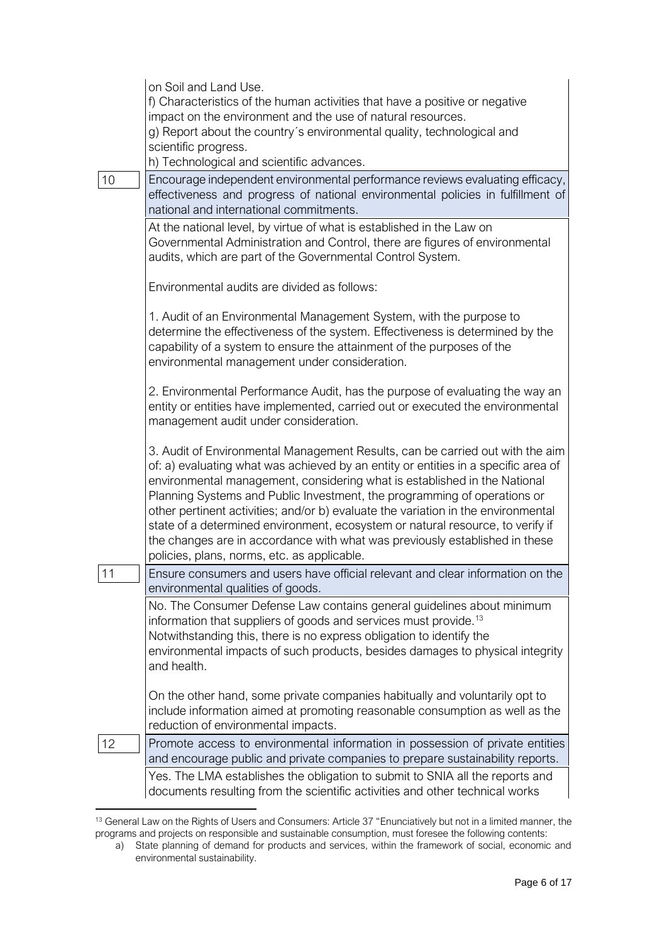|    | on Soil and Land Use.                                                                                                                                                                                                                                                                                                                                                                                                                                                                                                                                                                                                             |
|----|-----------------------------------------------------------------------------------------------------------------------------------------------------------------------------------------------------------------------------------------------------------------------------------------------------------------------------------------------------------------------------------------------------------------------------------------------------------------------------------------------------------------------------------------------------------------------------------------------------------------------------------|
|    | f) Characteristics of the human activities that have a positive or negative<br>impact on the environment and the use of natural resources.                                                                                                                                                                                                                                                                                                                                                                                                                                                                                        |
|    | g) Report about the country's environmental quality, technological and                                                                                                                                                                                                                                                                                                                                                                                                                                                                                                                                                            |
|    | scientific progress.<br>h) Technological and scientific advances.                                                                                                                                                                                                                                                                                                                                                                                                                                                                                                                                                                 |
| 10 | Encourage independent environmental performance reviews evaluating efficacy,<br>effectiveness and progress of national environmental policies in fulfillment of<br>national and international commitments.                                                                                                                                                                                                                                                                                                                                                                                                                        |
|    | At the national level, by virtue of what is established in the Law on<br>Governmental Administration and Control, there are figures of environmental<br>audits, which are part of the Governmental Control System.                                                                                                                                                                                                                                                                                                                                                                                                                |
|    | Environmental audits are divided as follows:                                                                                                                                                                                                                                                                                                                                                                                                                                                                                                                                                                                      |
|    | 1. Audit of an Environmental Management System, with the purpose to<br>determine the effectiveness of the system. Effectiveness is determined by the<br>capability of a system to ensure the attainment of the purposes of the<br>environmental management under consideration.                                                                                                                                                                                                                                                                                                                                                   |
|    | 2. Environmental Performance Audit, has the purpose of evaluating the way an<br>entity or entities have implemented, carried out or executed the environmental<br>management audit under consideration.                                                                                                                                                                                                                                                                                                                                                                                                                           |
|    | 3. Audit of Environmental Management Results, can be carried out with the aim<br>of: a) evaluating what was achieved by an entity or entities in a specific area of<br>environmental management, considering what is established in the National<br>Planning Systems and Public Investment, the programming of operations or<br>other pertinent activities; and/or b) evaluate the variation in the environmental<br>state of a determined environment, ecosystem or natural resource, to verify if<br>the changes are in accordance with what was previously established in these<br>policies, plans, norms, etc. as applicable. |
| 11 | Ensure consumers and users have official relevant and clear information on the<br>environmental qualities of goods.                                                                                                                                                                                                                                                                                                                                                                                                                                                                                                               |
|    | No. The Consumer Defense Law contains general guidelines about minimum<br>information that suppliers of goods and services must provide. <sup>13</sup><br>Notwithstanding this, there is no express obligation to identify the<br>environmental impacts of such products, besides damages to physical integrity<br>and health.                                                                                                                                                                                                                                                                                                    |
|    | On the other hand, some private companies habitually and voluntarily opt to<br>include information aimed at promoting reasonable consumption as well as the<br>reduction of environmental impacts.                                                                                                                                                                                                                                                                                                                                                                                                                                |
| 12 | Promote access to environmental information in possession of private entities<br>and encourage public and private companies to prepare sustainability reports.                                                                                                                                                                                                                                                                                                                                                                                                                                                                    |
|    | Yes. The LMA establishes the obligation to submit to SNIA all the reports and<br>documents resulting from the scientific activities and other technical works                                                                                                                                                                                                                                                                                                                                                                                                                                                                     |

<sup>&</sup>lt;sup>13</sup> General Law on the Rights of Users and Consumers: Article 37 "Enunciatively but not in a limited manner, the programs and projects on responsible and sustainable consumption, must foresee the following contents:

a) State planning of demand for products and services, within the framework of social, economic and environmental sustainability.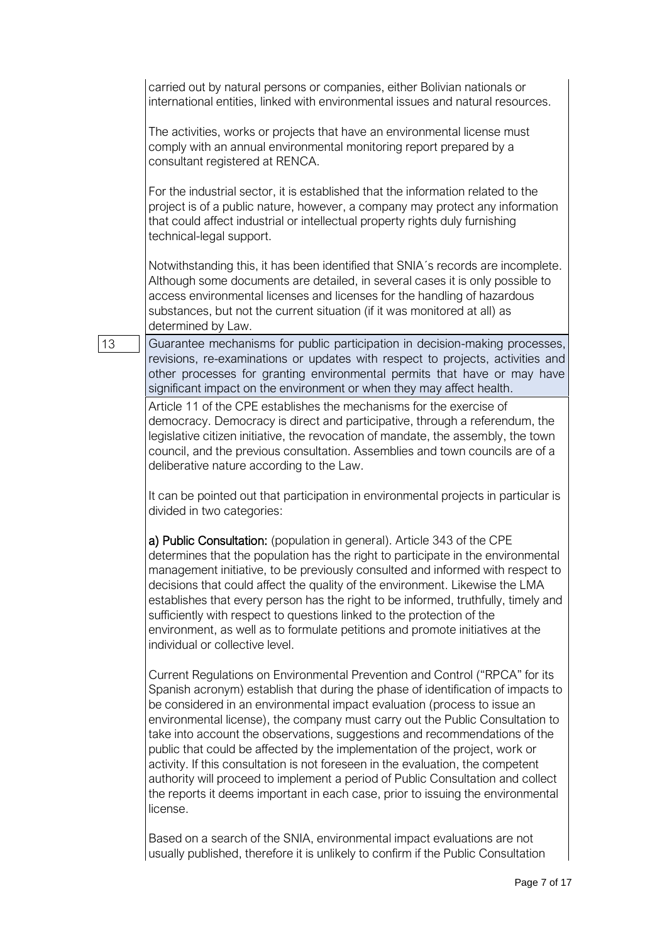carried out by natural persons or companies, either Bolivian nationals or international entities, linked with environmental issues and natural resources.

The activities, works or projects that have an environmental license must comply with an annual environmental monitoring report prepared by a consultant registered at RENCA.

For the industrial sector, it is established that the information related to the project is of a public nature, however, a company may protect any information that could affect industrial or intellectual property rights duly furnishing technical-legal support.

Notwithstanding this, it has been identified that SNIA´s records are incomplete. Although some documents are detailed, in several cases it is only possible to access environmental licenses and licenses for the handling of hazardous substances, but not the current situation (if it was monitored at all) as determined by Law.

13 Guarantee mechanisms for public participation in decision-making processes, revisions, re-examinations or updates with respect to projects, activities and other processes for granting environmental permits that have or may have significant impact on the environment or when they may affect health.

> Article 11 of the CPE establishes the mechanisms for the exercise of democracy. Democracy is direct and participative, through a referendum, the legislative citizen initiative, the revocation of mandate, the assembly, the town council, and the previous consultation. Assemblies and town councils are of a deliberative nature according to the Law.

It can be pointed out that participation in environmental projects in particular is divided in two categories:

a) Public Consultation: (population in general). Article 343 of the CPE determines that the population has the right to participate in the environmental management initiative, to be previously consulted and informed with respect to decisions that could affect the quality of the environment. Likewise the LMA establishes that every person has the right to be informed, truthfully, timely and sufficiently with respect to questions linked to the protection of the environment, as well as to formulate petitions and promote initiatives at the individual or collective level.

Current Regulations on Environmental Prevention and Control ("RPCA" for its Spanish acronym) establish that during the phase of identification of impacts to be considered in an environmental impact evaluation (process to issue an environmental license), the company must carry out the Public Consultation to take into account the observations, suggestions and recommendations of the public that could be affected by the implementation of the project, work or activity. If this consultation is not foreseen in the evaluation, the competent authority will proceed to implement a period of Public Consultation and collect the reports it deems important in each case, prior to issuing the environmental license.

Based on a search of the SNIA, environmental impact evaluations are not usually published, therefore it is unlikely to confirm if the Public Consultation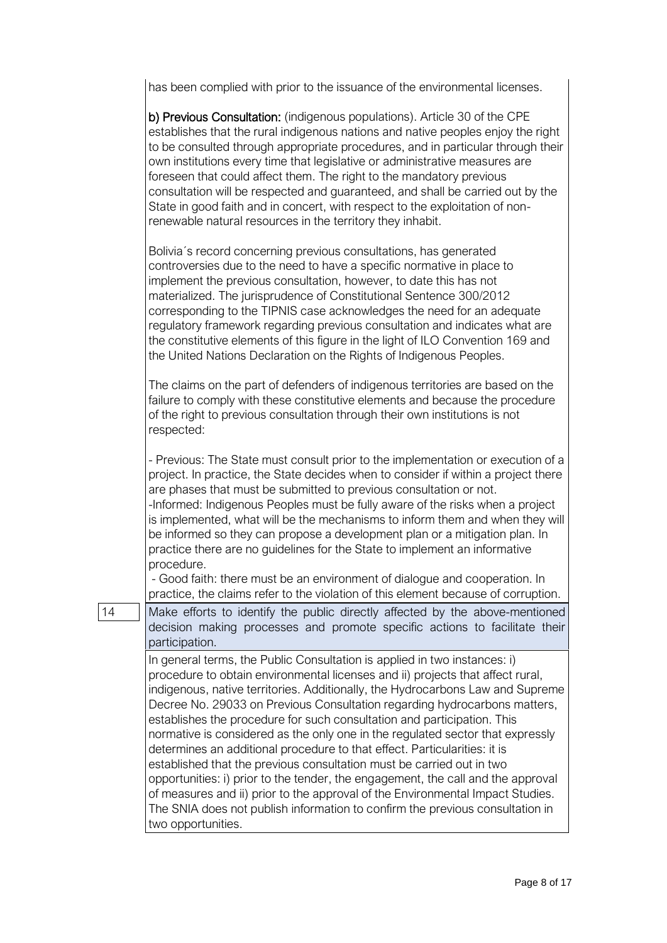has been complied with prior to the issuance of the environmental licenses.

|    | b) Previous Consultation: (indigenous populations). Article 30 of the CPE<br>establishes that the rural indigenous nations and native peoples enjoy the right<br>to be consulted through appropriate procedures, and in particular through their<br>own institutions every time that legislative or administrative measures are<br>foreseen that could affect them. The right to the mandatory previous<br>consultation will be respected and guaranteed, and shall be carried out by the<br>State in good faith and in concert, with respect to the exploitation of non-<br>renewable natural resources in the territory they inhabit.                                                                                                                                                                                                                                                                                    |
|----|----------------------------------------------------------------------------------------------------------------------------------------------------------------------------------------------------------------------------------------------------------------------------------------------------------------------------------------------------------------------------------------------------------------------------------------------------------------------------------------------------------------------------------------------------------------------------------------------------------------------------------------------------------------------------------------------------------------------------------------------------------------------------------------------------------------------------------------------------------------------------------------------------------------------------|
|    | Bolivia's record concerning previous consultations, has generated<br>controversies due to the need to have a specific normative in place to<br>implement the previous consultation, however, to date this has not<br>materialized. The jurisprudence of Constitutional Sentence 300/2012<br>corresponding to the TIPNIS case acknowledges the need for an adequate<br>regulatory framework regarding previous consultation and indicates what are<br>the constitutive elements of this figure in the light of ILO Convention 169 and<br>the United Nations Declaration on the Rights of Indigenous Peoples.                                                                                                                                                                                                                                                                                                                |
|    | The claims on the part of defenders of indigenous territories are based on the<br>failure to comply with these constitutive elements and because the procedure<br>of the right to previous consultation through their own institutions is not<br>respected:                                                                                                                                                                                                                                                                                                                                                                                                                                                                                                                                                                                                                                                                |
|    | - Previous: The State must consult prior to the implementation or execution of a<br>project. In practice, the State decides when to consider if within a project there<br>are phases that must be submitted to previous consultation or not.<br>-Informed: Indigenous Peoples must be fully aware of the risks when a project<br>is implemented, what will be the mechanisms to inform them and when they will<br>be informed so they can propose a development plan or a mitigation plan. In<br>practice there are no guidelines for the State to implement an informative<br>procedure.                                                                                                                                                                                                                                                                                                                                  |
|    | - Good faith: there must be an environment of dialogue and cooperation. In<br>practice, the claims refer to the violation of this element because of corruption.                                                                                                                                                                                                                                                                                                                                                                                                                                                                                                                                                                                                                                                                                                                                                           |
| 14 | Make efforts to identify the public directly affected by the above-mentioned<br>decision making processes and promote specific actions to facilitate their<br>participation.                                                                                                                                                                                                                                                                                                                                                                                                                                                                                                                                                                                                                                                                                                                                               |
|    | In general terms, the Public Consultation is applied in two instances: i)<br>procedure to obtain environmental licenses and ii) projects that affect rural,<br>indigenous, native territories. Additionally, the Hydrocarbons Law and Supreme<br>Decree No. 29033 on Previous Consultation regarding hydrocarbons matters,<br>establishes the procedure for such consultation and participation. This<br>normative is considered as the only one in the regulated sector that expressly<br>determines an additional procedure to that effect. Particularities: it is<br>established that the previous consultation must be carried out in two<br>opportunities: i) prior to the tender, the engagement, the call and the approval<br>of measures and ii) prior to the approval of the Environmental Impact Studies.<br>The SNIA does not publish information to confirm the previous consultation in<br>two opportunities. |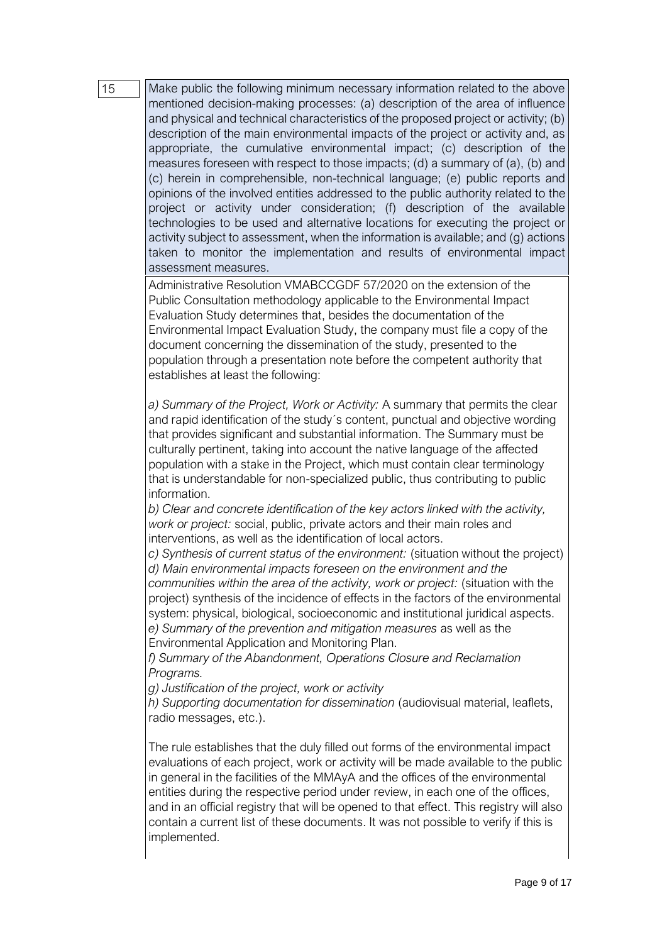15 Make public the following minimum necessary information related to the above mentioned decision-making processes: (a) description of the area of influence and physical and technical characteristics of the proposed project or activity; (b) description of the main environmental impacts of the project or activity and, as appropriate, the cumulative environmental impact; (c) description of the measures foreseen with respect to those impacts; (d) a summary of (a), (b) and (c) herein in comprehensible, non-technical language; (e) public reports and opinions of the involved entities addressed to the public authority related to the project or activity under consideration; (f) description of the available technologies to be used and alternative locations for executing the project or activity subject to assessment, when the information is available; and (g) actions taken to monitor the implementation and results of environmental impact assessment measures.

Administrative Resolution VMABCCGDF 57/2020 on the extension of the Public Consultation methodology applicable to the Environmental Impact Evaluation Study determines that, besides the documentation of the Environmental Impact Evaluation Study, the company must file a copy of the document concerning the dissemination of the study, presented to the population through a presentation note before the competent authority that establishes at least the following:

*a) Summary of the Project, Work or Activity:* A summary that permits the clear and rapid identification of the study´s content, punctual and objective wording that provides significant and substantial information. The Summary must be culturally pertinent, taking into account the native language of the affected population with a stake in the Project, which must contain clear terminology that is understandable for non-specialized public, thus contributing to public information.

*b) Clear and concrete identification of the key actors linked with the activity, work or project:* social, public, private actors and their main roles and interventions, as well as the identification of local actors.

*c) Synthesis of current status of the environment:* (situation without the project) *d) Main environmental impacts foreseen on the environment and the communities within the area of the activity, work or project:* (situation with the project) synthesis of the incidence of effects in the factors of the environmental system: physical, biological, socioeconomic and institutional juridical aspects. *e) Summary of the prevention and mitigation measures* as well as the Environmental Application and Monitoring Plan.

*f) Summary of the Abandonment, Operations Closure and Reclamation Programs.*

*g) Justification of the project, work or activity*

*h) Supporting documentation for dissemination* (audiovisual material, leaflets, radio messages, etc.).

The rule establishes that the duly filled out forms of the environmental impact evaluations of each project, work or activity will be made available to the public in general in the facilities of the MMAyA and the offices of the environmental entities during the respective period under review, in each one of the offices, and in an official registry that will be opened to that effect. This registry will also contain a current list of these documents. It was not possible to verify if this is implemented.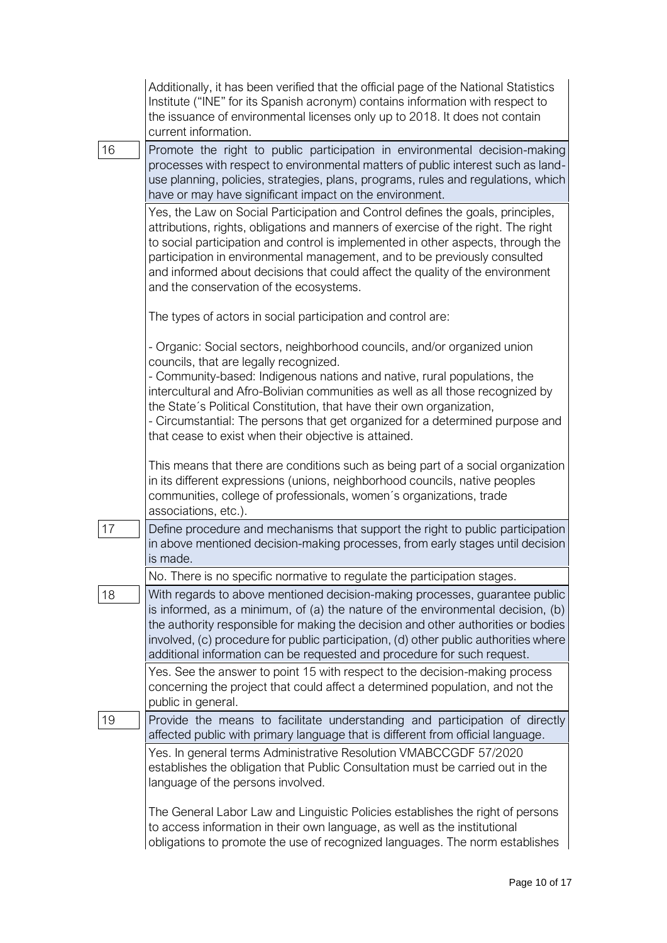|    | Additionally, it has been verified that the official page of the National Statistics<br>Institute ("INE" for its Spanish acronym) contains information with respect to<br>the issuance of environmental licenses only up to 2018. It does not contain<br>current information.                                                                                                                                                                                     |
|----|-------------------------------------------------------------------------------------------------------------------------------------------------------------------------------------------------------------------------------------------------------------------------------------------------------------------------------------------------------------------------------------------------------------------------------------------------------------------|
| 16 | Promote the right to public participation in environmental decision-making<br>processes with respect to environmental matters of public interest such as land-<br>use planning, policies, strategies, plans, programs, rules and regulations, which<br>have or may have significant impact on the environment.                                                                                                                                                    |
|    | Yes, the Law on Social Participation and Control defines the goals, principles,<br>attributions, rights, obligations and manners of exercise of the right. The right<br>to social participation and control is implemented in other aspects, through the<br>participation in environmental management, and to be previously consulted<br>and informed about decisions that could affect the quality of the environment<br>and the conservation of the ecosystems. |
|    | The types of actors in social participation and control are:                                                                                                                                                                                                                                                                                                                                                                                                      |
|    | - Organic: Social sectors, neighborhood councils, and/or organized union<br>councils, that are legally recognized.                                                                                                                                                                                                                                                                                                                                                |
|    | - Community-based: Indigenous nations and native, rural populations, the<br>intercultural and Afro-Bolivian communities as well as all those recognized by<br>the State's Political Constitution, that have their own organization,<br>- Circumstantial: The persons that get organized for a determined purpose and<br>that cease to exist when their objective is attained.                                                                                     |
|    | This means that there are conditions such as being part of a social organization<br>in its different expressions (unions, neighborhood councils, native peoples<br>communities, college of professionals, women's organizations, trade<br>associations, etc.).                                                                                                                                                                                                    |
| 17 | Define procedure and mechanisms that support the right to public participation<br>in above mentioned decision-making processes, from early stages until decision<br>is made.                                                                                                                                                                                                                                                                                      |
|    | No. There is no specific normative to regulate the participation stages.                                                                                                                                                                                                                                                                                                                                                                                          |
| 18 | With regards to above mentioned decision-making processes, guarantee public<br>is informed, as a minimum, of (a) the nature of the environmental decision, (b)<br>the authority responsible for making the decision and other authorities or bodies<br>involved, (c) procedure for public participation, (d) other public authorities where<br>additional information can be requested and procedure for such request.                                            |
|    | Yes. See the answer to point 15 with respect to the decision-making process<br>concerning the project that could affect a determined population, and not the<br>public in general.                                                                                                                                                                                                                                                                                |
| 19 | Provide the means to facilitate understanding and participation of directly<br>affected public with primary language that is different from official language.                                                                                                                                                                                                                                                                                                    |
|    | Yes. In general terms Administrative Resolution VMABCCGDF 57/2020<br>establishes the obligation that Public Consultation must be carried out in the<br>language of the persons involved.                                                                                                                                                                                                                                                                          |
|    | The General Labor Law and Linguistic Policies establishes the right of persons<br>to access information in their own language, as well as the institutional<br>obligations to promote the use of recognized languages. The norm establishes                                                                                                                                                                                                                       |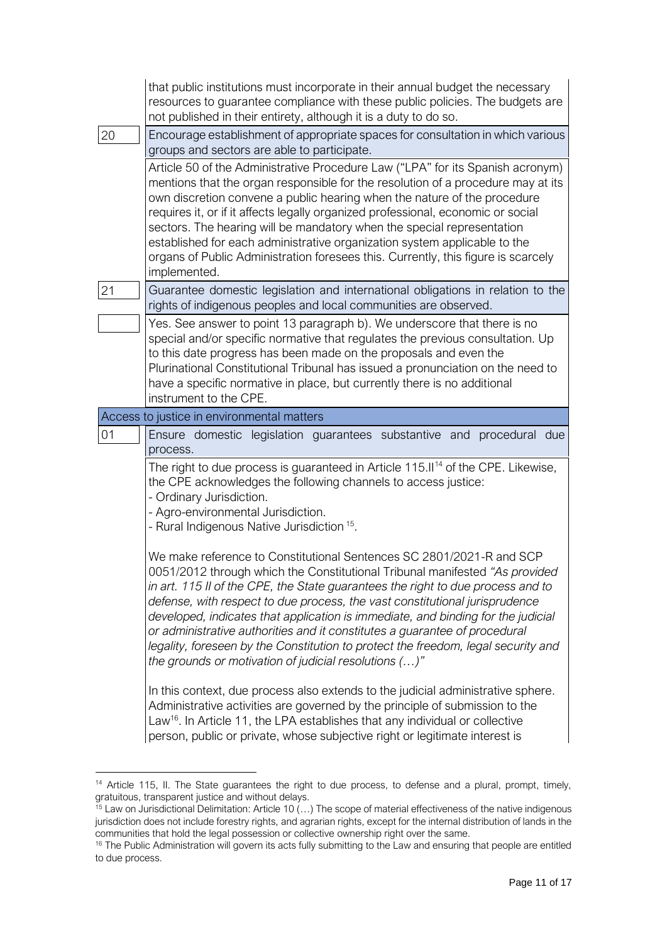|    | that public institutions must incorporate in their annual budget the necessary<br>resources to guarantee compliance with these public policies. The budgets are<br>not published in their entirety, although it is a duty to do so.                                                                                                                                                                                                                                                                                                                                                            |
|----|------------------------------------------------------------------------------------------------------------------------------------------------------------------------------------------------------------------------------------------------------------------------------------------------------------------------------------------------------------------------------------------------------------------------------------------------------------------------------------------------------------------------------------------------------------------------------------------------|
| 20 | Encourage establishment of appropriate spaces for consultation in which various<br>groups and sectors are able to participate.                                                                                                                                                                                                                                                                                                                                                                                                                                                                 |
|    | Article 50 of the Administrative Procedure Law ("LPA" for its Spanish acronym)<br>mentions that the organ responsible for the resolution of a procedure may at its<br>own discretion convene a public hearing when the nature of the procedure<br>requires it, or if it affects legally organized professional, economic or social<br>sectors. The hearing will be mandatory when the special representation<br>established for each administrative organization system applicable to the<br>organs of Public Administration foresees this. Currently, this figure is scarcely<br>implemented. |
| 21 | Guarantee domestic legislation and international obligations in relation to the<br>rights of indigenous peoples and local communities are observed.                                                                                                                                                                                                                                                                                                                                                                                                                                            |
|    | Yes. See answer to point 13 paragraph b). We underscore that there is no<br>special and/or specific normative that regulates the previous consultation. Up<br>to this date progress has been made on the proposals and even the<br>Plurinational Constitutional Tribunal has issued a pronunciation on the need to<br>have a specific normative in place, but currently there is no additional<br>instrument to the CPE.                                                                                                                                                                       |
|    | Access to justice in environmental matters                                                                                                                                                                                                                                                                                                                                                                                                                                                                                                                                                     |
| 01 | Ensure domestic legislation guarantees substantive and procedural due<br>process.                                                                                                                                                                                                                                                                                                                                                                                                                                                                                                              |
|    | The right to due process is guaranteed in Article 115.II <sup>14</sup> of the CPE. Likewise,<br>the CPE acknowledges the following channels to access justice:<br>- Ordinary Jurisdiction.<br>- Agro-environmental Jurisdiction.<br>- Rural Indigenous Native Jurisdiction <sup>15</sup> .                                                                                                                                                                                                                                                                                                     |
|    | We make reference to Constitutional Sentences SC 2801/2021-R and SCP<br>0051/2012 through which the Constitutional Tribunal manifested "As provided<br>in art. 115 II of the CPE, the State guarantees the right to due process and to<br>defense, with respect to due process, the vast constitutional jurisprudence<br>developed, indicates that application is immediate, and binding for the judicial<br>or administrative authorities and it constitutes a guarantee of procedural<br>legality, foreseen by the Constitution to protect the freedom, legal security and                   |
|    | the grounds or motivation of judicial resolutions ()"                                                                                                                                                                                                                                                                                                                                                                                                                                                                                                                                          |

<sup>&</sup>lt;sup>14</sup> Article 115, II. The State guarantees the right to due process, to defense and a plural, prompt, timely, gratuitous, transparent justice and without delays.

<sup>&</sup>lt;sup>15</sup> Law on Jurisdictional Delimitation: Article 10 (...) The scope of material effectiveness of the native indigenous jurisdiction does not include forestry rights, and agrarian rights, except for the internal distribution of lands in the communities that hold the legal possession or collective ownership right over the same.

<sup>&</sup>lt;sup>16</sup> The Public Administration will govern its acts fully submitting to the Law and ensuring that people are entitled to due process.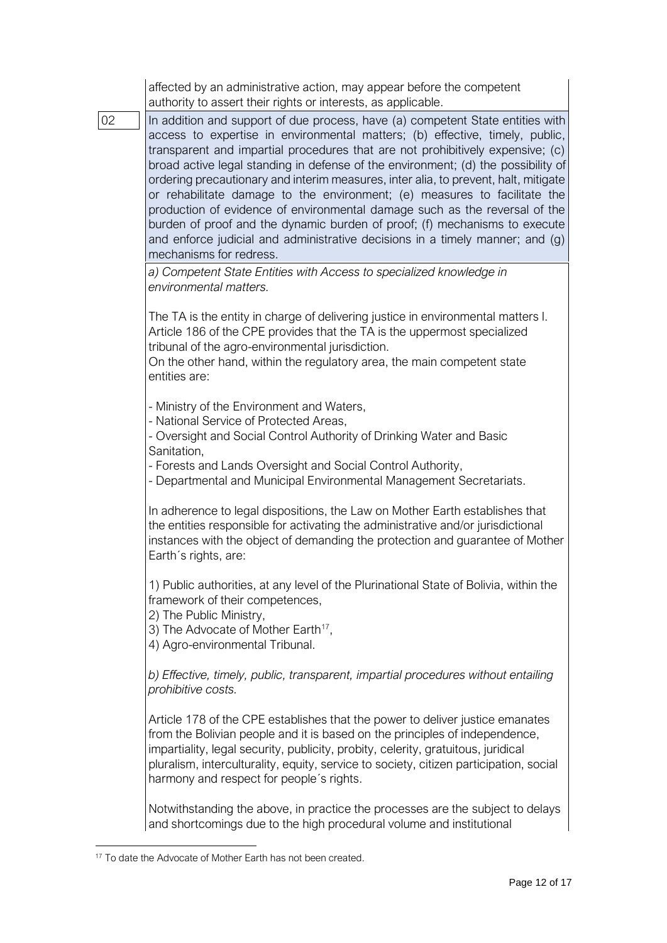|    | affected by an administrative action, may appear before the competent<br>authority to assert their rights or interests, as applicable.                                                                                                                                                                                                                                                                                                                                                                                                                                                                                                                                                                                                                                            |
|----|-----------------------------------------------------------------------------------------------------------------------------------------------------------------------------------------------------------------------------------------------------------------------------------------------------------------------------------------------------------------------------------------------------------------------------------------------------------------------------------------------------------------------------------------------------------------------------------------------------------------------------------------------------------------------------------------------------------------------------------------------------------------------------------|
| 02 | In addition and support of due process, have (a) competent State entities with<br>access to expertise in environmental matters; (b) effective, timely, public,<br>transparent and impartial procedures that are not prohibitively expensive; (c)<br>broad active legal standing in defense of the environment; (d) the possibility of<br>ordering precautionary and interim measures, inter alia, to prevent, halt, mitigate<br>or rehabilitate damage to the environment; (e) measures to facilitate the<br>production of evidence of environmental damage such as the reversal of the<br>burden of proof and the dynamic burden of proof; (f) mechanisms to execute<br>and enforce judicial and administrative decisions in a timely manner; and (g)<br>mechanisms for redress. |
|    | a) Competent State Entities with Access to specialized knowledge in<br>environmental matters.                                                                                                                                                                                                                                                                                                                                                                                                                                                                                                                                                                                                                                                                                     |
|    | The TA is the entity in charge of delivering justice in environmental matters I.<br>Article 186 of the CPE provides that the TA is the uppermost specialized<br>tribunal of the agro-environmental jurisdiction.<br>On the other hand, within the regulatory area, the main competent state<br>entities are:                                                                                                                                                                                                                                                                                                                                                                                                                                                                      |
|    | - Ministry of the Environment and Waters,<br>- National Service of Protected Areas,<br>- Oversight and Social Control Authority of Drinking Water and Basic<br>Sanitation,<br>- Forests and Lands Oversight and Social Control Authority,<br>- Departmental and Municipal Environmental Management Secretariats.                                                                                                                                                                                                                                                                                                                                                                                                                                                                  |
|    | In adherence to legal dispositions, the Law on Mother Earth establishes that<br>the entities responsible for activating the administrative and/or jurisdictional<br>instances with the object of demanding the protection and guarantee of Mother<br>Earth's rights, are:                                                                                                                                                                                                                                                                                                                                                                                                                                                                                                         |
|    | 1) Public authorities, at any level of the Plurinational State of Bolivia, within the<br>framework of their competences,<br>2) The Public Ministry,<br>3) The Advocate of Mother Earth <sup>17</sup> ,<br>4) Agro-environmental Tribunal.                                                                                                                                                                                                                                                                                                                                                                                                                                                                                                                                         |
|    | b) Effective, timely, public, transparent, impartial procedures without entailing<br>prohibitive costs.                                                                                                                                                                                                                                                                                                                                                                                                                                                                                                                                                                                                                                                                           |
|    | Article 178 of the CPE establishes that the power to deliver justice emanates<br>from the Bolivian people and it is based on the principles of independence,<br>impartiality, legal security, publicity, probity, celerity, gratuitous, juridical<br>pluralism, interculturality, equity, service to society, citizen participation, social<br>harmony and respect for people's rights.                                                                                                                                                                                                                                                                                                                                                                                           |
|    | Notwithstanding the above, in practice the processes are the subject to delays<br>and shortcomings due to the high procedural volume and institutional                                                                                                                                                                                                                                                                                                                                                                                                                                                                                                                                                                                                                            |

<sup>&</sup>lt;sup>17</sup> To date the Advocate of Mother Earth has not been created.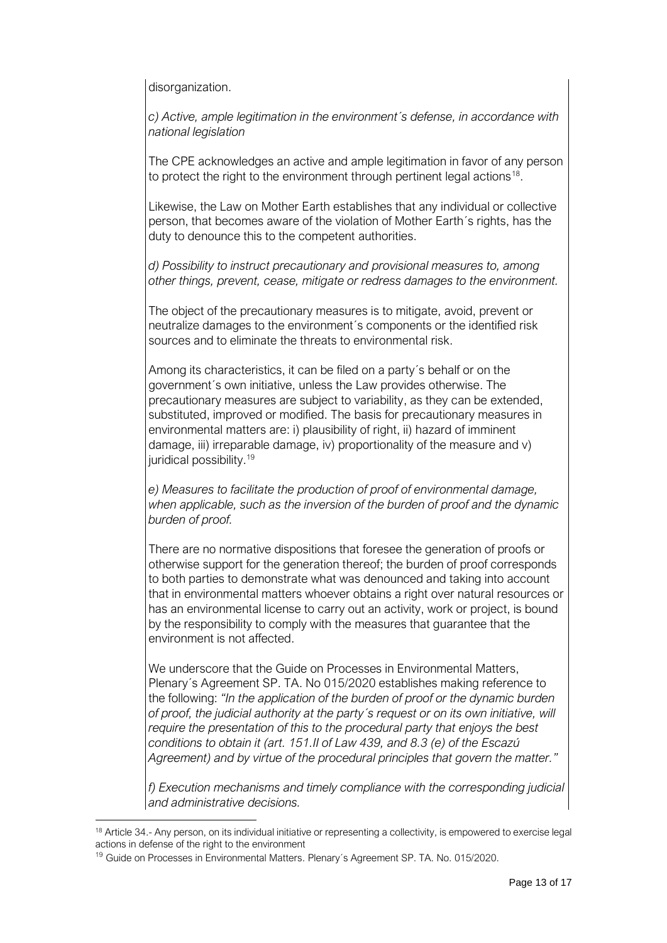disorganization.

*c) Active, ample legitimation in the environment´s defense, in accordance with national legislation*

The CPE acknowledges an active and ample legitimation in favor of any person to protect the right to the environment through pertinent legal actions<sup>18</sup>.

Likewise, the Law on Mother Earth establishes that any individual or collective person, that becomes aware of the violation of Mother Earth´s rights, has the duty to denounce this to the competent authorities.

*d) Possibility to instruct precautionary and provisional measures to, among other things, prevent, cease, mitigate or redress damages to the environment.*

The object of the precautionary measures is to mitigate, avoid, prevent or neutralize damages to the environment´s components or the identified risk sources and to eliminate the threats to environmental risk.

Among its characteristics, it can be filed on a party´s behalf or on the government´s own initiative, unless the Law provides otherwise. The precautionary measures are subject to variability, as they can be extended, substituted, improved or modified. The basis for precautionary measures in environmental matters are: i) plausibility of right, ii) hazard of imminent damage, iii) irreparable damage, iv) proportionality of the measure and v) juridical possibility.<sup>19</sup>

*e) Measures to facilitate the production of proof of environmental damage, when applicable, such as the inversion of the burden of proof and the dynamic burden of proof.*

There are no normative dispositions that foresee the generation of proofs or otherwise support for the generation thereof; the burden of proof corresponds to both parties to demonstrate what was denounced and taking into account that in environmental matters whoever obtains a right over natural resources or has an environmental license to carry out an activity, work or project, is bound by the responsibility to comply with the measures that guarantee that the environment is not affected.

We underscore that the Guide on Processes in Environmental Matters, Plenary´s Agreement SP. TA. No 015/2020 establishes making reference to the following: *"In the application of the burden of proof or the dynamic burden of proof, the judicial authority at the party´s request or on its own initiative, will require the presentation of this to the procedural party that enjoys the best conditions to obtain it (art. 151.II of Law 439, and 8.3 (e) of the Escazú Agreement) and by virtue of the procedural principles that govern the matter."*

*f) Execution mechanisms and timely compliance with the corresponding judicial and administrative decisions.*

<sup>&</sup>lt;sup>18</sup> Article 34.- Any person, on its individual initiative or representing a collectivity, is empowered to exercise legal actions in defense of the right to the environment

<sup>&</sup>lt;sup>19</sup> Guide on Processes in Environmental Matters. Plenary's Agreement SP. TA. No. 015/2020.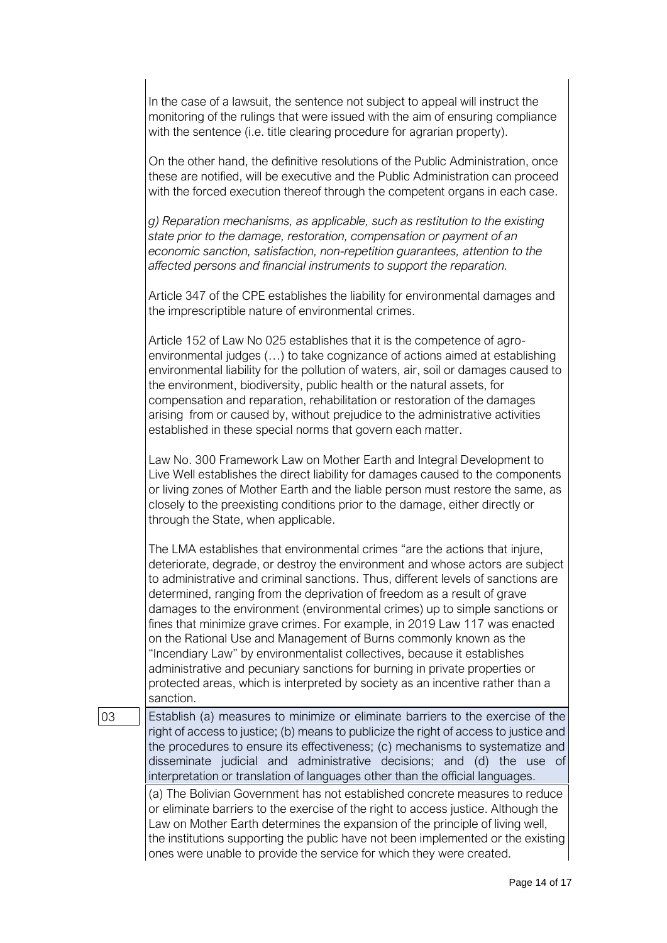|    | In the case of a lawsuit, the sentence not subject to appeal will instruct the<br>monitoring of the rulings that were issued with the aim of ensuring compliance<br>with the sentence (i.e. title clearing procedure for agrarian property).                                                                                                                                                                                                                                                                                                                                                                                                                                                                                                                                                                              |
|----|---------------------------------------------------------------------------------------------------------------------------------------------------------------------------------------------------------------------------------------------------------------------------------------------------------------------------------------------------------------------------------------------------------------------------------------------------------------------------------------------------------------------------------------------------------------------------------------------------------------------------------------------------------------------------------------------------------------------------------------------------------------------------------------------------------------------------|
|    | On the other hand, the definitive resolutions of the Public Administration, once<br>these are notified, will be executive and the Public Administration can proceed<br>with the forced execution thereof through the competent organs in each case.                                                                                                                                                                                                                                                                                                                                                                                                                                                                                                                                                                       |
|    | g) Reparation mechanisms, as applicable, such as restitution to the existing<br>state prior to the damage, restoration, compensation or payment of an<br>economic sanction, satisfaction, non-repetition guarantees, attention to the<br>affected persons and financial instruments to support the reparation.                                                                                                                                                                                                                                                                                                                                                                                                                                                                                                            |
|    | Article 347 of the CPE establishes the liability for environmental damages and<br>the imprescriptible nature of environmental crimes.                                                                                                                                                                                                                                                                                                                                                                                                                                                                                                                                                                                                                                                                                     |
|    | Article 152 of Law No 025 establishes that it is the competence of agro-<br>environmental judges () to take cognizance of actions aimed at establishing<br>environmental liability for the pollution of waters, air, soil or damages caused to<br>the environment, biodiversity, public health or the natural assets, for<br>compensation and reparation, rehabilitation or restoration of the damages<br>arising from or caused by, without prejudice to the administrative activities<br>established in these special norms that govern each matter.                                                                                                                                                                                                                                                                    |
|    | Law No. 300 Framework Law on Mother Earth and Integral Development to<br>Live Well establishes the direct liability for damages caused to the components<br>or living zones of Mother Earth and the liable person must restore the same, as<br>closely to the preexisting conditions prior to the damage, either directly or<br>through the State, when applicable.                                                                                                                                                                                                                                                                                                                                                                                                                                                       |
|    | The LMA establishes that environmental crimes "are the actions that injure,<br>deteriorate, degrade, or destroy the environment and whose actors are subject<br>to administrative and criminal sanctions. Thus, different levels of sanctions are<br>determined, ranging from the deprivation of freedom as a result of grave<br>damages to the environment (environmental crimes) up to simple sanctions or<br>fines that minimize grave crimes. For example, in 2019 Law 117 was enacted<br>on the Rational Use and Management of Burns commonly known as the<br>"Incendiary Law" by environmentalist collectives, because it establishes<br>administrative and pecuniary sanctions for burning in private properties or<br>protected areas, which is interpreted by society as an incentive rather than a<br>sanction. |
| 03 | Establish (a) measures to minimize or eliminate barriers to the exercise of the<br>right of access to justice; (b) means to publicize the right of access to justice and<br>the procedures to ensure its effectiveness; (c) mechanisms to systematize and<br>disseminate judicial and administrative decisions; and (d) the use of<br>interpretation or translation of languages other than the official languages.                                                                                                                                                                                                                                                                                                                                                                                                       |
|    | (a) The Bolivian Government has not established concrete measures to reduce<br>or eliminate barriers to the exercise of the right to access justice. Although the<br>Law on Mother Earth determines the expansion of the principle of living well,<br>the institutions supporting the public have not been implemented or the existing<br>ones were unable to provide the service for which they were created.                                                                                                                                                                                                                                                                                                                                                                                                            |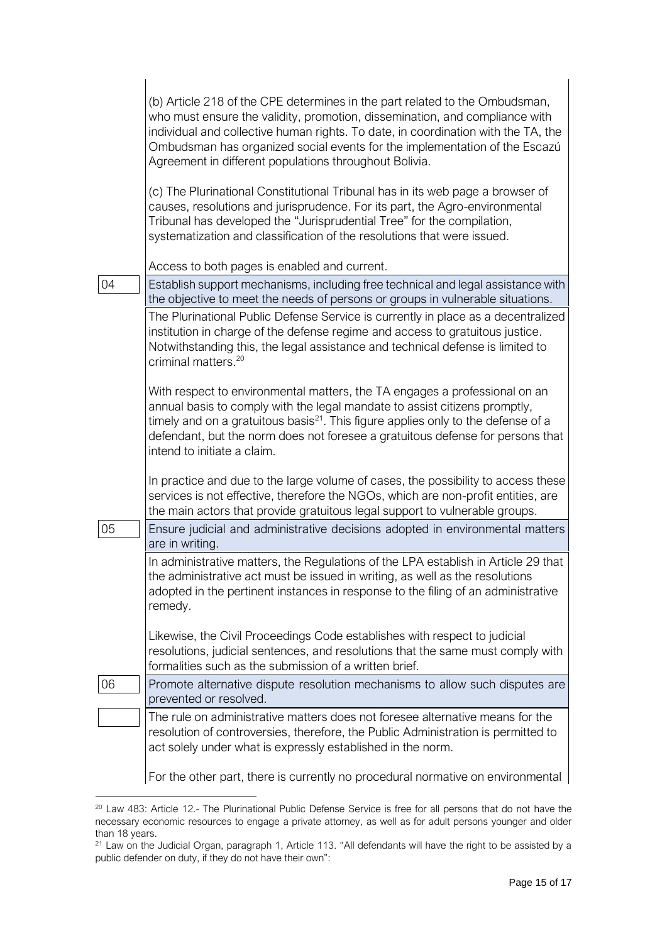|    | (b) Article 218 of the CPE determines in the part related to the Ombudsman,<br>who must ensure the validity, promotion, dissemination, and compliance with<br>individual and collective human rights. To date, in coordination with the TA, the<br>Ombudsman has organized social events for the implementation of the Escazú<br>Agreement in different populations throughout Bolivia. |
|----|-----------------------------------------------------------------------------------------------------------------------------------------------------------------------------------------------------------------------------------------------------------------------------------------------------------------------------------------------------------------------------------------|
|    | (c) The Plurinational Constitutional Tribunal has in its web page a browser of<br>causes, resolutions and jurisprudence. For its part, the Agro-environmental<br>Tribunal has developed the "Jurisprudential Tree" for the compilation,<br>systematization and classification of the resolutions that were issued.                                                                      |
|    | Access to both pages is enabled and current.                                                                                                                                                                                                                                                                                                                                            |
| 04 | Establish support mechanisms, including free technical and legal assistance with<br>the objective to meet the needs of persons or groups in vulnerable situations.                                                                                                                                                                                                                      |
|    | The Plurinational Public Defense Service is currently in place as a decentralized<br>institution in charge of the defense regime and access to gratuitous justice.<br>Notwithstanding this, the legal assistance and technical defense is limited to<br>criminal matters. <sup>20</sup>                                                                                                 |
|    | With respect to environmental matters, the TA engages a professional on an<br>annual basis to comply with the legal mandate to assist citizens promptly,<br>timely and on a gratuitous basis <sup>21</sup> . This figure applies only to the defense of a<br>defendant, but the norm does not foresee a gratuitous defense for persons that<br>intend to initiate a claim.              |
| 05 | In practice and due to the large volume of cases, the possibility to access these<br>services is not effective, therefore the NGOs, which are non-profit entities, are<br>the main actors that provide gratuitous legal support to vulnerable groups.<br>Ensure judicial and administrative decisions adopted in environmental matters                                                  |
|    | are in writing.                                                                                                                                                                                                                                                                                                                                                                         |
|    | In administrative matters, the Regulations of the LPA establish in Article 29 that<br>the administrative act must be issued in writing, as well as the resolutions<br>adopted in the pertinent instances in response to the filing of an administrative<br>remedy.                                                                                                                      |
|    | Likewise, the Civil Proceedings Code establishes with respect to judicial<br>resolutions, judicial sentences, and resolutions that the same must comply with<br>formalities such as the submission of a written brief.                                                                                                                                                                  |
| 06 | Promote alternative dispute resolution mechanisms to allow such disputes are<br>prevented or resolved.                                                                                                                                                                                                                                                                                  |
|    | The rule on administrative matters does not foresee alternative means for the<br>resolution of controversies, therefore, the Public Administration is permitted to<br>act solely under what is expressly established in the norm.                                                                                                                                                       |
|    | For the other part, there is currently no procedural normative on environmental                                                                                                                                                                                                                                                                                                         |

<sup>&</sup>lt;sup>20</sup> Law 483: Article 12.- The Plurinational Public Defense Service is free for all persons that do not have the necessary economic resources to engage a private attorney, as well as for adult persons younger and older than 18 years.

<sup>&</sup>lt;sup>21</sup> Law on the Judicial Organ, paragraph 1, Article 113. "All defendants will have the right to be assisted by a public defender on duty, if they do not have their own":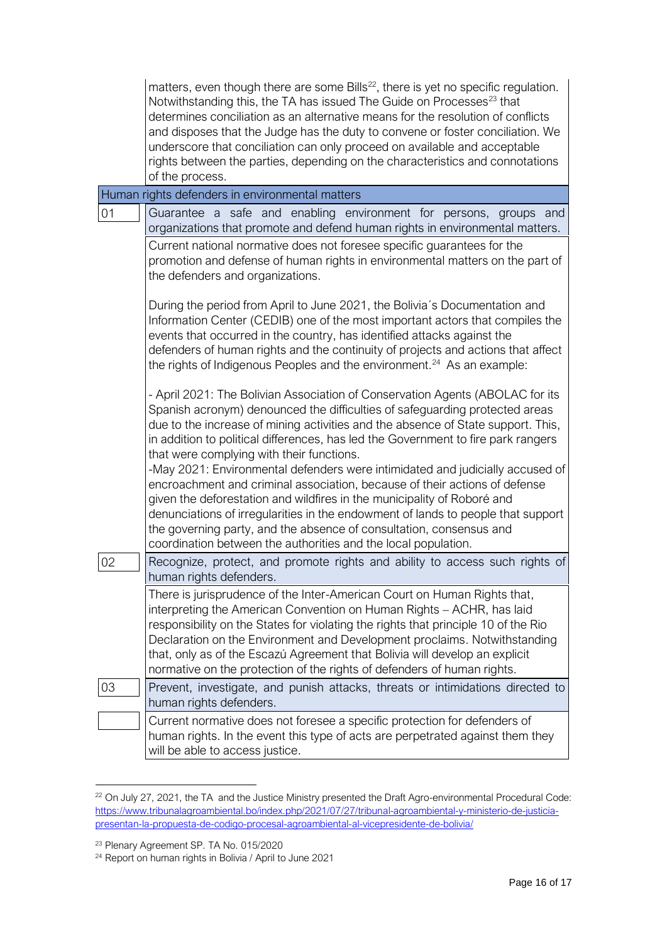| $\vert$ matters, even though there are some Bills <sup>22</sup> , there is yet no specific regulation. |
|--------------------------------------------------------------------------------------------------------|
| Notwithstanding this, the TA has issued The Guide on Processes <sup>23</sup> that                      |
| determines conciliation as an alternative means for the resolution of conflicts                        |
| and disposes that the Judge has the duty to convene or foster conciliation. We                         |
| underscore that conciliation can only proceed on available and acceptable                              |
| rights between the parties, depending on the characteristics and connotations                          |
| of the process.                                                                                        |

|    | Human rights defenders in environmental matters                                                                                                                                                                                                                                                                                                                                                                                                                                |
|----|--------------------------------------------------------------------------------------------------------------------------------------------------------------------------------------------------------------------------------------------------------------------------------------------------------------------------------------------------------------------------------------------------------------------------------------------------------------------------------|
| 01 | Guarantee a safe and enabling environment for persons, groups and<br>organizations that promote and defend human rights in environmental matters.                                                                                                                                                                                                                                                                                                                              |
|    | Current national normative does not foresee specific guarantees for the<br>promotion and defense of human rights in environmental matters on the part of<br>the defenders and organizations.                                                                                                                                                                                                                                                                                   |
|    | During the period from April to June 2021, the Bolivia's Documentation and<br>Information Center (CEDIB) one of the most important actors that compiles the<br>events that occurred in the country, has identified attacks against the<br>defenders of human rights and the continuity of projects and actions that affect<br>the rights of Indigenous Peoples and the environment. <sup>24</sup> As an example:                                                               |
|    | - April 2021: The Bolivian Association of Conservation Agents (ABOLAC for its<br>Spanish acronym) denounced the difficulties of safeguarding protected areas<br>due to the increase of mining activities and the absence of State support. This,<br>in addition to political differences, has led the Government to fire park rangers<br>that were complying with their functions.                                                                                             |
|    | -May 2021: Environmental defenders were intimidated and judicially accused of<br>encroachment and criminal association, because of their actions of defense<br>given the deforestation and wildfires in the municipality of Roboré and<br>denunciations of irregularities in the endowment of lands to people that support<br>the governing party, and the absence of consultation, consensus and<br>coordination between the authorities and the local population.            |
| 02 | Recognize, protect, and promote rights and ability to access such rights of<br>human rights defenders.                                                                                                                                                                                                                                                                                                                                                                         |
|    | There is jurisprudence of the Inter-American Court on Human Rights that,<br>interpreting the American Convention on Human Rights - ACHR, has laid<br>responsibility on the States for violating the rights that principle 10 of the Rio<br>Declaration on the Environment and Development proclaims. Notwithstanding<br>that, only as of the Escazú Agreement that Bolivia will develop an explicit<br>normative on the protection of the rights of defenders of human rights. |
| 03 | Prevent, investigate, and punish attacks, threats or intimidations directed to<br>human rights defenders.                                                                                                                                                                                                                                                                                                                                                                      |
|    | Current normative does not foresee a specific protection for defenders of<br>human rights. In the event this type of acts are perpetrated against them they<br>will be able to access justice.                                                                                                                                                                                                                                                                                 |

<sup>&</sup>lt;sup>22</sup> On July 27, 2021, the TA and the Justice Ministry presented the Draft Agro-environmental Procedural Code: [https://www.tribunalagroambiental.bo/index.php/2021/07/27/tribunal-agroambiental-y-ministerio-de-justicia](https://www.tribunalagroambiental.bo/index.php/2021/07/27/tribunal-agroambiental-y-ministerio-de-justicia-presentan-la-propuesta-de-codigo-procesal-agroambiental-al-vicepresidente-de-bolivia/)[presentan-la-propuesta-de-codigo-procesal-agroambiental-al-vicepresidente-de-bolivia/](https://www.tribunalagroambiental.bo/index.php/2021/07/27/tribunal-agroambiental-y-ministerio-de-justicia-presentan-la-propuesta-de-codigo-procesal-agroambiental-al-vicepresidente-de-bolivia/)

<sup>23</sup> Plenary Agreement SP. TA No. 015/2020

<sup>24</sup> Report on human rights in Bolivia / April to June 2021